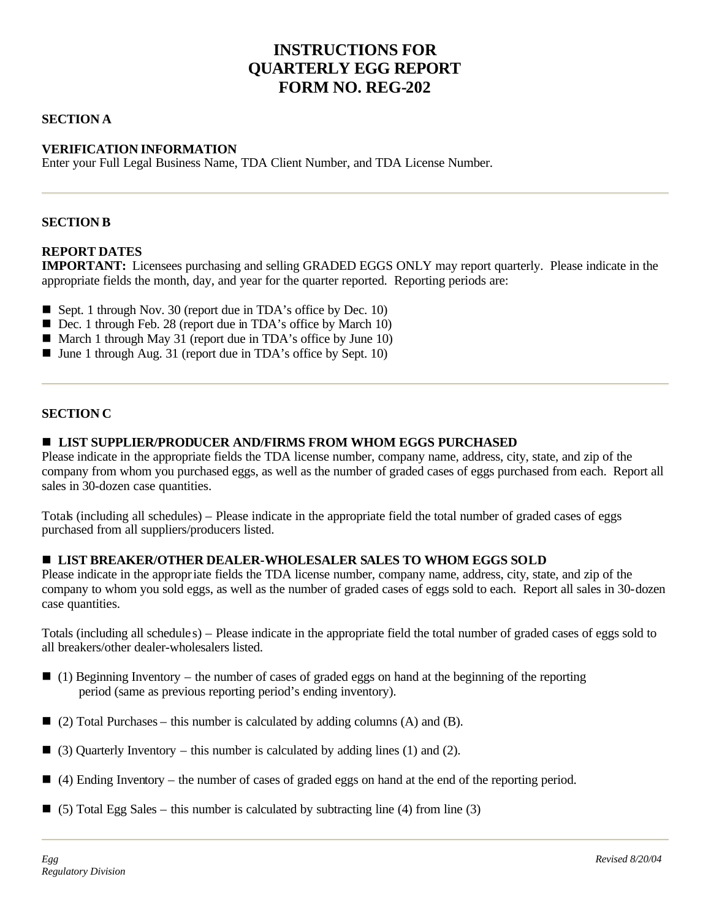# **INSTRUCTIONS FOR QUARTERLY EGG REPORT FORM NO. REG-202**

### **SECTION A**

### **VERIFICATION INFORMATION**

Enter your Full Legal Business Name, TDA Client Number, and TDA License Number.

#### **SECTION B**

#### **REPORT DATES**

**IMPORTANT:** Licensees purchasing and selling GRADED EGGS ONLY may report quarterly. Please indicate in the appropriate fields the month, day, and year for the quarter reported. Reporting periods are:

- Sept. 1 through Nov. 30 (report due in TDA's office by Dec. 10)
- Dec. 1 through Feb. 28 (report due in TDA's office by March 10)
- March 1 through May 31 (report due in TDA's office by June 10)
- $\blacksquare$  June 1 through Aug. 31 (report due in TDA's office by Sept. 10)

#### **SECTION C**

#### $\blacksquare$  **LIST SUPPLIER/PRODUCER AND/FIRMS FROM WHOM EGGS PURCHASED**

Please indicate in the appropriate fields the TDA license number, company name, address, city, state, and zip of the company from whom you purchased eggs, as well as the number of graded cases of eggs purchased from each. Report all sales in 30-dozen case quantities.

Totals (including all schedules) – Please indicate in the appropriate field the total number of graded cases of eggs purchased from all suppliers/producers listed.

#### n **LIST BREAKER/OTHER DEALER-WHOLESALER SALES TO WHOM EGGS SOLD**

Please indicate in the appropriate fields the TDA license number, company name, address, city, state, and zip of the company to whom you sold eggs, as well as the number of graded cases of eggs sold to each. Report all sales in 30-dozen case quantities.

Totals (including all schedule s) – Please indicate in the appropriate field the total number of graded cases of eggs sold to all breakers/other dealer-wholesalers listed.

- $\Box$  (1) Beginning Inventory the number of cases of graded eggs on hand at the beginning of the reporting period (same as previous reporting period's ending inventory).
- $\Box$  (2) Total Purchases this number is calculated by adding columns (A) and (B).
- $\Box$  (3) Quarterly Inventory this number is calculated by adding lines (1) and (2).
- $\Box$  (4) Ending Inventory the number of cases of graded eggs on hand at the end of the reporting period.
- $\Box$  (5) Total Egg Sales this number is calculated by subtracting line (4) from line (3)